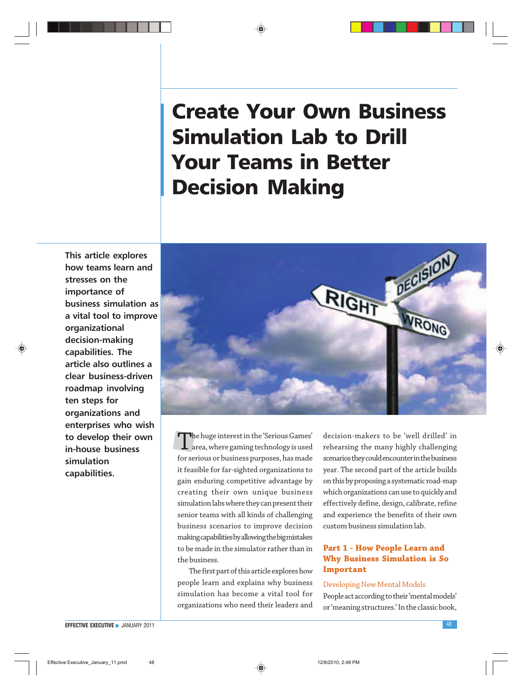# Create Your Own Business Simulation Lab to Drill Your Teams in Better Decision Making

This article explores how teams learn and stresses on the importance of business simulation as a vital tool to improve organizational decision-making capabilities. The article also outlines a clear business-driven roadmap involving ten steps for organizations and enterprises who wish to develop their own in-house business simulation capabilities.



The huge interest in the 'Serious Games'<br>area, where gaming technology is used area, where gaming technology is used for serious or business purposes, has made it feasible for far-sighted organizations to gain enduring competitive advantage by creating their own unique business simulation labs where they can present their senior teams with all kinds of challenging business scenarios to improve decision making capabilities by allowing the big mistakes to be made in the simulator rather than in the business.

The first part of this article explores how people learn and explains why business simulation has become a vital tool for organizations who need their leaders and

decision-makers to be 'well drilled' in rehearsing the many highly challenging scenarios they could encounter in the business year. The second part of the article builds on this by proposing a systematic road-map which organizations can use to quickly and effectively define, design, calibrate, refine and experience the benefits of their own custom business simulation lab.

# **Part 1 - How People Learn and Why Business Simulation is So Important**

#### Developing New Mental Models

People act according to their 'mental models' or 'meaning structures.' In the classic book,

#### EFFECTIVE EXECUTIVE ● JANUARY 2011 48 and the state of the state of the state of the state of the state of the state of the state of the state of the state of the state of the state of the state of the state of the state

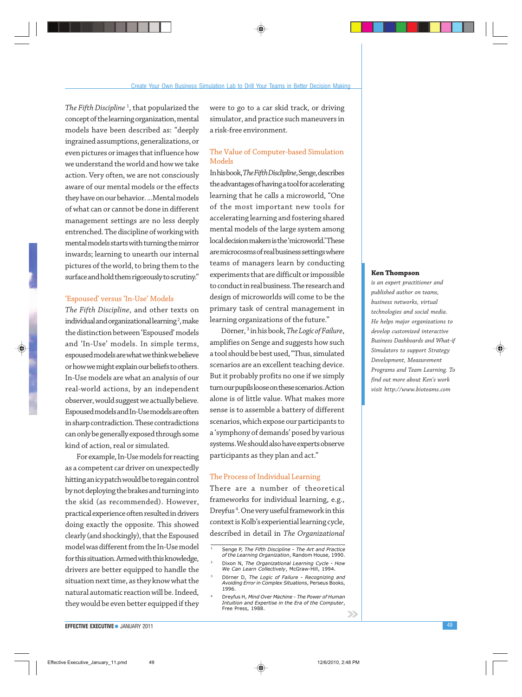The Fifth Discipline<sup>1</sup>, that popularized the concept of the learning organization, mental models have been described as: "deeply ingrained assumptions, generalizations, or even pictures or images that influence how we understand the world and how we take action. Very often, we are not consciously aware of our mental models or the effects they have on our behavior. ...Mental models of what can or cannot be done in different management settings are no less deeply entrenched. The discipline of working with mental models starts with turning the mirror inwards; learning to unearth our internal pictures of the world, to bring them to the surface and hold them rigorously to scrutiny."

#### 'Espoused' versus 'In-Use' Models

*The Fifth Discipline*, and other texts on individual and organizational learning  $^2$ , make the distinction between 'Espoused' models and 'In-Use' models. In simple terms, espoused models are what we think we believe or how we might explain our beliefs to others. In-Use models are what an analysis of our real-world actions, by an independent observer, would suggest we actually believe. Espoused models and In-Use models are often in sharp contradiction. These contradictions can only be generally exposed through some kind of action, real or simulated.

For example, In-Use models for reacting as a competent car driver on unexpectedly hitting an icy patch would be to regain control by not deploying the brakes and turning into the skid (as recommended). However, practical experience often resulted in drivers doing exactly the opposite. This showed clearly (and shockingly), that the Espoused model was different from the In-Use model for this situation. Armed with this knowledge, drivers are better equipped to handle the situation next time, as they know what the natural automatic reaction will be. Indeed, they would be even better equipped if they

were to go to a car skid track, or driving simulator, and practice such maneuvers in a risk-free environment.

# The Value of Computer-based Simulation Models

In his book, *The Fifth Disclipline*, Senge, describes the advantages of having a tool for accelerating learning that he calls a microworld, "One of the most important new tools for accelerating learning and fostering shared mental models of the large system among local decision makers is the 'microworld.' These are microcosms of real business settings where teams of managers learn by conducting experiments that are difficult or impossible to conduct in real business. The research and design of microworlds will come to be the primary task of central management in learning organizations of the future."

Dörner, <sup>3</sup> in his book, *The Logic of Failure*, amplifies on Senge and suggests how such a tool should be best used, "Thus, simulated scenarios are an excellent teaching device. But it probably profits no one if we simply turn our pupils loose on these scenarios. Action alone is of little value. What makes more sense is to assemble a battery of different scenarios, which expose our participants to a 'symphony of demands' posed by various systems. We should also have experts observe participants as they plan and act."

#### The Process of Individual Learning

There are a number of theoretical frameworks for individual learning, e.g., Dreyfus <sup>4</sup> . One very useful framework in this context is Kolb's experiential learning cycle, described in detail in *The Organizational*

#### **Ken Thompson**

*is an expert practitioner and published author on teams, business networks, virtual technologies and social media. He helps major organizations to develop customized interactive Business Dashboards and What-if Simulators to support Strategy Development, Measurement Programs and Team Learning. To find out more about Ken's work visit http://www.bioteams.com*

 $\rightarrow$ 



Senge P, The Fifth Discipline - The Art and Practice of the Learning Organization, Random House, 1990. Dixon N, The Organizational Learning Cycle - How

We Can Learn Collectively, McGraw-Hill, 1994.

<sup>&</sup>lt;sup>3</sup> Dörner D, The Logic of Failure - Recognizing and<br>Avoiding Error in Complex Situations, Perseus Books, 1996.

Dreyfus H, Mind Over Machine - The Power of Human Intuition and Expertise in the Era of the Computer, Free Press, 1988.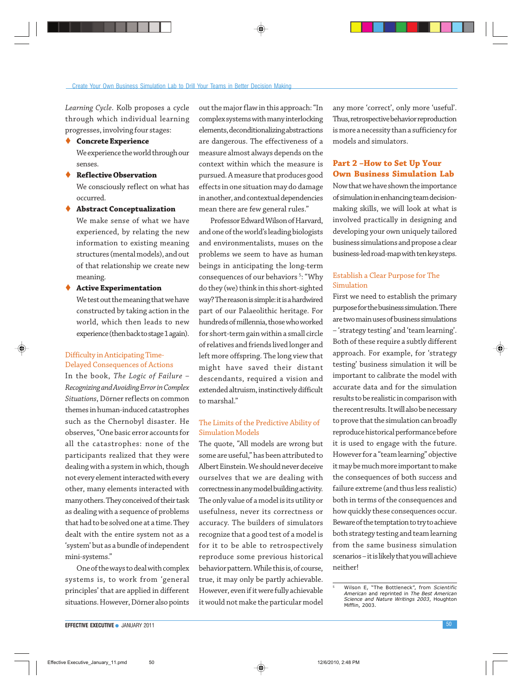#### Create Your Own Business Simulation Lab to Drill Your Teams in Better Decision Making

*Learning Cycle*. Kolb proposes a cycle through which individual learning progresses, involving four stages:

- **Concrete Experience** We experience the world through our senses.
- **Reflective Observation** We consciously reflect on what has occurred.
- **Abstract Conceptualization** We make sense of what we have experienced, by relating the new information to existing meaning structures (mental models), and out of that relationship we create new meaning.
- **Active Experimentation** We test out the meaning that we have constructed by taking action in the world, which then leads to new experience (then back to stage 1 again).

# Difficulty in Anticipating Time-Delayed Consequences of Actions

In the book, *The Logic of Failure – Recognizing and Avoiding Error in Complex Situations*, Dörner reflects on common themes in human-induced catastrophes such as the Chernobyl disaster. He observes, "One basic error accounts for all the catastrophes: none of the participants realized that they were dealing with a system in which, though not every element interacted with every other, many elements interacted with many others. They conceived of their task as dealing with a sequence of problems that had to be solved one at a time. They dealt with the entire system not as a 'system' but as a bundle of independent mini-systems."

One of the ways to deal with complex systems is, to work from 'general principles' that are applied in different situations. However, Dörner also points out the major flaw in this approach: "In complex systems with many interlocking elements, deconditionalizing abstractions are dangerous. The effectiveness of a measure almost always depends on the context within which the measure is pursued. A measure that produces good effects in one situation may do damage in another, and contextual dependencies mean there are few general rules."

Professor Edward Wilson of Harvard, and one of the world's leading biologists and environmentalists, muses on the problems we seem to have as human beings in anticipating the long-term consequences of our behaviors<sup>5</sup>: "Why do they (we) think in this short-sighted way? The reason is simple: it is a hardwired part of our Palaeolithic heritage. For hundreds of millennia, those who worked for short-term gain within a small circle of relatives and friends lived longer and left more offspring. The long view that might have saved their distant descendants, required a vision and extended altruism, instinctively difficult to marshal."

#### The Limits of the Predictive Ability of Simulation Models

The quote, "All models are wrong but some are useful," has been attributed to Albert Einstein. We should never deceive ourselves that we are dealing with correctness in any model building activity. The only value of a model is its utility or usefulness, never its correctness or accuracy. The builders of simulators recognize that a good test of a model is for it to be able to retrospectively reproduce some previous historical behavior pattern. While this is, of course, true, it may only be partly achievable. However, even if it were fully achievable it would not make the particular model

any more 'correct', only more 'useful'. Thus, retrospective behavior reproduction is more a necessity than a sufficiency for models and simulators.

# **Part 2 –How to Set Up Your Own Business Simulation Lab**

Now that we have shown the importance of simulation in enhancing team decisionmaking skills, we will look at what is involved practically in designing and developing your own uniquely tailored business simulations and propose a clear business-led road-map with ten key steps.

# Establish a Clear Purpose for The Simulation

First we need to establish the primary purpose for the business simulation. There are two main uses of business simulations – 'strategy testing' and 'team learning'. Both of these require a subtly different approach. For example, for 'strategy testing' business simulation it will be important to calibrate the model with accurate data and for the simulation results to be realistic in comparison with the recent results. It will also be necessary to prove that the simulation can broadly reproduce historical performance before it is used to engage with the future. However for a "team learning" objective it may be much more important to make the consequences of both success and failure extreme (and thus less realistic) both in terms of the consequences and how quickly these consequences occur. Beware of the temptation to try to achieve both strategy testing and team learning from the same business simulation scenarios – it is likely that you will achieve neither!



Wilson E, "The Bottleneck", from Scientific<br>American and reprinted in The Best American A*merican* and reprinted in *The Best American*<br>*Science and Nature Writings 2003*, Houghton<br>Mifflin, 2003.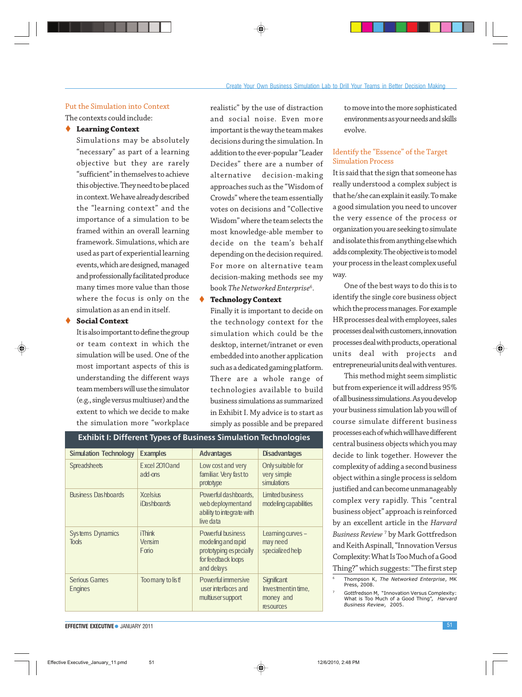Put the Simulation into Context The contexts could include:

#### **Learning Context**

Simulations may be absolutely "necessary" as part of a learning objective but they are rarely "sufficient" in themselves to achieve this objective. They need to be placed in context. We have already described the "learning context" and the importance of a simulation to be framed within an overall learning framework. Simulations, which are used as part of experiential learning events, which are designed, managed and professionally facilitated produce many times more value than those where the focus is only on the simulation as an end in itself.

#### **Social Context**

It is also important to define the group or team context in which the simulation will be used. One of the most important aspects of this is understanding the different ways team members will use the simulator (e.g., single versus multiuser) and the extent to which we decide to make the simulation more "workplace realistic" by the use of distraction and social noise. Even more important is the way the team makes decisions during the simulation. In addition to the ever-popular "Leader Decides" there are a number of alternative decision-making approaches such as the "Wisdom of Crowds" where the team essentially votes on decisions and "Collective Wisdom" where the team selects the most knowledge-able member to decide on the team's behalf depending on the decision required. For more on alternative team decision-making methods see my book *The Networked Enterprise*<sup>6</sup> .

#### **Technology Context**

familiar. Very fast to very simple<br>
prototype

Luder interfaces and Investment in the Investment in the unit of the money and intervalse and  $\frac{1}{2}$  in the money and intervalse and intervalse and intervalse and intervalse and intervalse and intervalse and intervalse

Exhibit I: Different Types of Business Simulation Technologies

prototype

live data

web deployment and ability to integrate with

Tools Vensim modeling and rapid may need prototyping especially for feedback loops and delays

multiuser support

Simulation Technology Examples Advantages Disadvantages

Spreadsheets Excel 2010 and Low cost and very Only suitable for<br>add-ons familiar. Very fast to very simple

Business Dashboards Xcelsius Powerful dashboards, Limited business<br>iDashboards web deployment and modeling capabilities

Systems Dynamics in Think and Powerful business Learning curves -<br>
Tools Tools + Powerful business Learning curves + Powerful business + Powerful business + Powerful business + Powerful business + Powerful business + Power

Serious Games Too many to list! Powerful immersive Significant<br>
Engines Contains Engines

Finally it is important to decide on the technology context for the simulation which could be the desktop, internet/intranet or even embedded into another application such as a dedicated gaming platform. There are a whole range of technologies available to build business simulations as summarized in Exhibit I. My advice is to start as simply as possible and be prepared to move into the more sophisticated environments as your needs and skills evolve.

# Identify the "Essence" of the Target Simulation Process

It is said that the sign that someone has really understood a complex subject is that he/she can explain it easily. To make a good simulation you need to uncover the very essence of the process or organization you are seeking to simulate and isolate this from anything else which adds complexity. The objective is to model your process in the least complex useful way.

One of the best ways to do this is to identify the single core business object which the process manages. For example HR processes deal with employees, sales processes deal with customers, innovation processes deal with products, operational units deal with projects and entrepreneurial units deal with ventures.

This method might seem simplistic but from experience it will address 95% of all business simulations. As you develop your business simulation lab you will of course simulate different business processes each of which will have different central business objects which you may decide to link together. However the complexity of adding a second business object within a single process is seldom justified and can become unmanageably complex very rapidly. This "central business object" approach is reinforced by an excellent article in the *Harvard Business Review* <sup>7</sup> by Mark Gottfredson and Keith Aspinall, "Innovation Versus Complexity: What Is Too Much of a Good Thing?" which suggests: "The first step

## **EFFECTIVE EXECUTIVE •** JANUARY 2011 **SEE AND A SEE A SEE A SEE A SEE A SEE A SEE A SEE A SEE A SEE A SEE A SEE A**

resources

Thompson K, The Networked Enterprise, MK Press, 2008.

Gottfredson M, "Innovation Versus Complexity: What is Too Much of a Good Thing", *Harvard*<br>*Business Review*, 2005.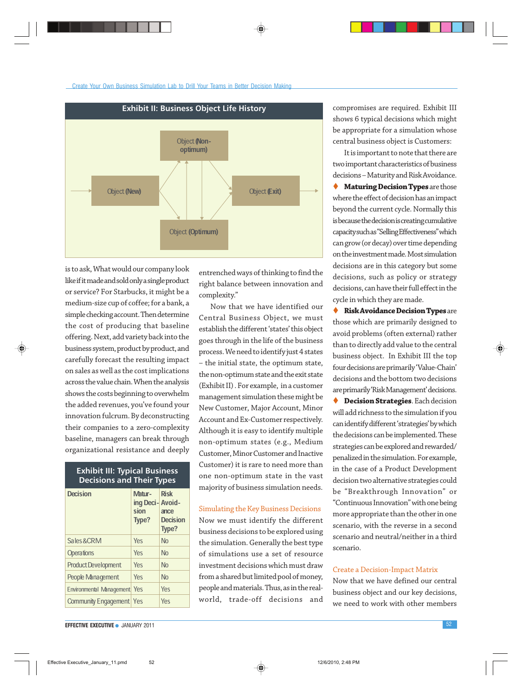#### Create Your Own Business Simulation Lab to Drill Your Teams in Better Decision Making



is to ask, What would our company look like if it made and sold only a single product or service? For Starbucks, it might be a medium-size cup of coffee; for a bank, a simple checking account. Then determine the cost of producing that baseline offering. Next, add variety back into the business system, product by product, and carefully forecast the resulting impact on sales as well as the cost implications across the value chain. When the analysis shows the costs beginning to overwhelm the added revenues, you've found your innovation fulcrum. By deconstructing their companies to a zero-complexity baseline, managers can break through organizational resistance and deeply

# Exhibit III: Typical Business Decisions and Their Types Decision Matur-Risk ing Deci- Avoidsion ance<br>Type? Decis **Decision** Type? Sales&CRM Yes No Operations **Yes** No Product Development Yes No People Management Yes No

EFFECTIVE EXECUTIVE ● JANUARY 2011 52

Environmental Management<sup>Yes</sup> Yes Community Engagement Yes Yes entrenched ways of thinking to find the right balance between innovation and complexity."

Now that we have identified our Central Business Object, we must establish the different 'states' this object goes through in the life of the business process. We need to identify just 4 states – the initial state, the optimum state, the non-optimum state and the exit state (Exhibit II) . For example, in a customer management simulation these might be New Customer, Major Account, Minor Account and Ex-Customer respectively. Although it is easy to identify multiple non-optimum states (e.g., Medium Customer, Minor Customer and Inactive Customer) it is rare to need more than one non-optimum state in the vast majority of business simulation needs.

#### Simulating the Key Business Decisions

Now we must identify the different business decisions to be explored using the simulation. Generally the best type of simulations use a set of resource investment decisions which must draw from a shared but limited pool of money, people and materials. Thus, as in the realworld, trade-off decisions and compromises are required. Exhibit III shows 6 typical decisions which might be appropriate for a simulation whose central business object is Customers:

It is important to note that there are two important characteristics of business decisions – Maturity and Risk Avoidance. **Maturing Decision Types** are those where the effect of decision has an impact beyond the current cycle. Normally this is because the decision is creating cumulative capacity such as "Selling Effectiveness" which can grow (or decay) over time depending on the investment made. Most simulation decisions are in this category but some decisions, such as policy or strategy decisions, can have their full effect in the cycle in which they are made.

 **Risk Avoidance Decision Types** are those which are primarily designed to avoid problems (often external) rather than to directly add value to the central business object. In Exhibit III the top four decisions are primarily 'Value-Chain' decisions and the bottom two decisions are primarily 'Risk Management' decisions. **Decision Strategies**. Each decision will add richness to the simulation if you can identify different 'strategies' by which the decisions can be implemented. These strategies can be explored and rewarded/ penalized in the simulation. For example, in the case of a Product Development decision two alternative strategies could be "Breakthrough Innovation" or "Continuous Innovation" with one being more appropriate than the other in one scenario, with the reverse in a second scenario and neutral/neither in a third scenario.

#### Create a Decision-Impact Matrix

Now that we have defined our central business object and our key decisions, we need to work with other members

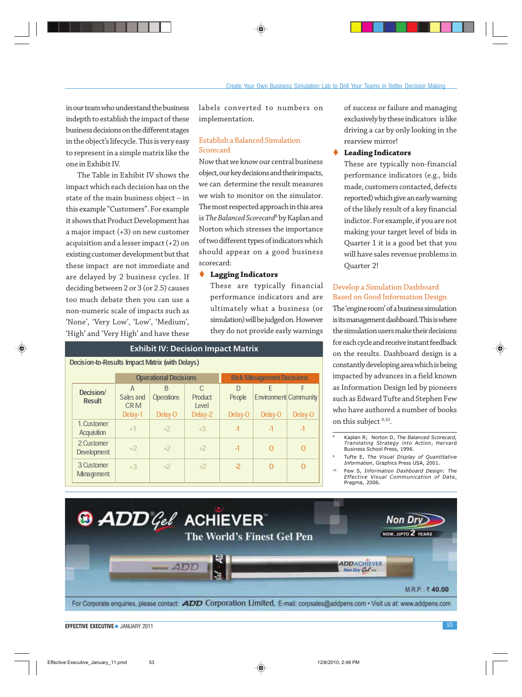in our team who understand the business indepth to establish the impact of these business decisions on the different stages in the object's lifecycle. This is very easy to represent in a simple matrix like the one in Exhibit IV.

The Table in Exhibit IV shows the impact which each decision has on the state of the main business object – in this example "Customers". For example it shows that Product Development has a major impact (+3) on new customer acquisition and a lesser impact (+2) on existing customer development but that these impact are not immediate and are delayed by 2 business cycles. If deciding between 2 or 3 (or 2.5) causes too much debate then you can use a non-numeric scale of impacts such as 'None', 'Very Low', 'Low', 'Medium', 'High' and 'Very High' and have these

labels converted to numbers on implementation.

# Establish a Balanced Simulation Scorecard

Now that we know our central business object, our key decisions and their impacts, we can determine the result measures we wish to monitor on the simulator. The most respected approach in this area is *The Balanced Scorecard*<sup>8</sup> by Kaplan and Norton which stresses the importance of two different types of indicators which should appear on a good business scorecard:

#### **Lagging Indicators**

These are typically financial performance indicators and are ultimately what a business (or simulation) will be judged on. However they do not provide early warnings

|                                                        | <b>Exhibit IV: Decision Impact Matrix</b> |                              |                        |                       |                                  |                                   |                          |  |
|--------------------------------------------------------|-------------------------------------------|------------------------------|------------------------|-----------------------|----------------------------------|-----------------------------------|--------------------------|--|
| <b>Decision-to-Results Impact Matrix (with Delays)</b> |                                           |                              |                        |                       |                                  |                                   |                          |  |
|                                                        |                                           | <b>Operational Decisions</b> |                        |                       | <b>Risk Management Decisions</b> |                                   |                          |  |
|                                                        | Decision/<br><b>Result</b>                | A<br>Sales and<br><b>CRM</b> | R<br><b>Operations</b> | C<br>Product<br>Level | D<br>People                      | F<br><b>Environment Community</b> | F                        |  |
|                                                        |                                           | Delay-1                      | Delay-O                | Delay-2               | Delay-O                          | Delay-O                           | Delay-O                  |  |
|                                                        | 1. Customer<br>Acquisition                | $+1$                         | $+2$                   | $+3$                  | $\overline{1}$                   | $\overline{1}$                    | $\overline{\mathcal{L}}$ |  |
|                                                        | 2 Customer<br>Development                 | $+2$                         | $+2$                   | $+2$                  | $\overline{1}$                   | O                                 | Ω                        |  |
|                                                        | 3 Customer<br><b>Management</b>           | $+3$                         | $+2$                   | $+2$                  | $-2$                             |                                   | Ω                        |  |

of success or failure and managing exclusively by these indicators is like driving a car by only looking in the rearview mirror!

#### **Leading Indicators**

These are typically non-financial performance indicators (e.g., bids made, customers contacted, defects reported) which give an early warning of the likely result of a key financial indictor. For example, if you are not making your target level of bids in Quarter 1 it is a good bet that you will have sales revenue problems in Quarter 2!

#### Develop a Simulation Dashboard Based on Good Information Design

The 'engine room' of a business simulation is its management dashboard. This is where the simulation users make their decisions for each cycle and receive instant feedback on the results. Dashboard design is a constantly developing area which is being impacted by advances in a field known as Information Design led by pioneers such as Edward Tufte and Stephen Few who have authored a number of books on this subject  $9,10$ .

- <sup>9</sup> Tufte E, The Visual Display of Quantitative Information, Graphics Press USA, 2001.
- <sup>10</sup> Few S, Information Dashboard Design: The Effective Visual Communication of Data, Pragma, 2006.



**EFFECTIVE EXECUTIVE •** JANUARY 2011 2012 2013

<sup>8</sup> Kaplan R; Norton D, The Balanced Scorecard, Translating Strategy into Action, Harvard Business School Press, 1996.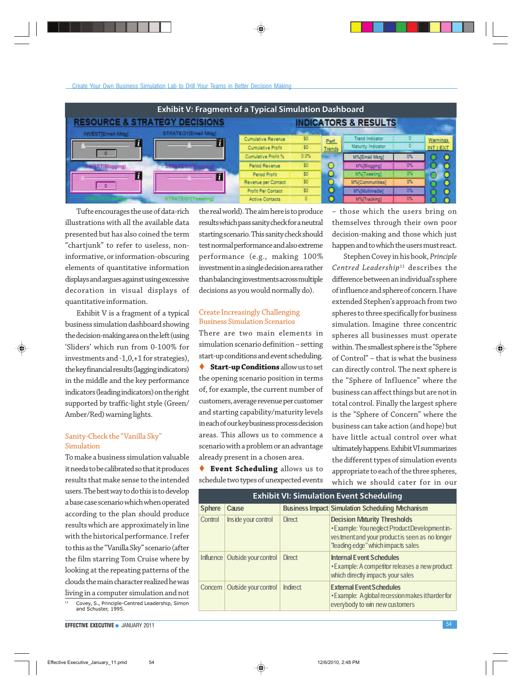| <b>Exhibit V: Fragment of a Typical Simulation Dashboard</b> |                           |                     |         |        |                                 |       |          |
|--------------------------------------------------------------|---------------------------|---------------------|---------|--------|---------------------------------|-------|----------|
| <b>RESOURCE &amp; STRATEGY DECISIONS</b>                     |                           |                     |         |        | <b>INDICATORS &amp; RESULTS</b> |       |          |
| <b>INVEST[Email Midg]</b>                                    | STRATEGY/Email Mktgl.     | Cumulative Revenue  | 50      | Perf.  | Trend Indicator                 |       | Warnings |
| n.                                                           |                           | Cumulative Profit   | 50      | Trends | Maturity Indicator              |       | INT LEXT |
|                                                              |                           | Cumulative Profit % | $0.0\%$ |        | M%(Email Mktg)                  | $0\%$ |          |
| <b>ISTIBlooping</b>                                          |                           | Period Revenue      | 50      |        | M%[Blogging]                    | 0%    |          |
| i t                                                          |                           | Penod Profit        | 50      |        | M%[Tweeting]                    | o.    |          |
| $\mathbf{D}$                                                 |                           | Revenue per Contact | 50      |        | M%[Communities]                 | 0%    |          |
|                                                              |                           | Profit Per Contact  | 50      |        | M%(Multimedia)                  |       |          |
|                                                              | <b>STRATEGY Tweeting!</b> | Active Contacts     | ٥       |        | M%[Tracking]                    | 0%    |          |

Tufte encourages the use of data-rich illustrations with all the available data presented but has also coined the term "chartjunk" to refer to useless, noninformative, or information-obscuring elements of quantitative information displays and argues against using excessive decoration in visual displays of quantitative information.

Exhibit V is a fragment of a typical business simulation dashboard showing the decision-making area on the left (using 'Sliders' which run from 0-100% for investments and -1,0,+1 for strategies), the key financial results (lagging indicators) in the middle and the key performance indicators (leading indicators) on the right supported by traffic-light style (Green/ Amber/Red) warning lights.

### Sanity-Check the "Vanilla Sky" Simulation

To make a business simulation valuable it needs to be calibrated so that it produces results that make sense to the intended users. The best way to do this is to develop a base case scenario which when operated according to the plan should produce results which are approximately in line with the historical performance. I refer to this as the "Vanilla Sky" scenario (after the film starring Tom Cruise where by looking at the repeating patterns of the clouds the main character realized he was living in a computer simulation and not

<sup>11</sup> Covey, S., Principle-Centred Leadership, Simon and Schuster, 1995.

EFFECTIVE EXECUTIVE ● JANUARY 2011 54

the real world). The aim here is to produce results which pass sanity check for a neutral starting scenario. This sanity check should test normal performance and also extreme performance (e.g., making 100% investment in a single decision area rather than balancing investments across multiple decisions as you would normally do).

# Create Increasingly Challenging Business Simulation Scenarios

There are two main elements in simulation scenario definition – setting start-up conditions and event scheduling. **Start-up Conditions** allow us to set the opening scenario position in terms of, for example, the current number of customers, average revenue per customer and starting capability/maturity levels in each of our key business process decision areas. This allows us to commence a scenario with a problem or an advantage already present in a chosen area.

 **Event Scheduling** allows us to schedule two types of unexpected events

– those which the users bring on themselves through their own poor decision-making and those which just happen and to which the users must react.

Stephen Covey in his book, *Principle* Centred Leadership<sup>11</sup> describes the difference between an individual's sphere of influence and sphere of concern. I have extended Stephen's approach from two spheres to three specifically for business simulation. Imagine three concentric spheres all businesses must operate within. The smallest sphere is the "Sphere of Control" – that is what the business can directly control. The next sphere is the "Sphere of Influence" where the business can affect things but are not in total control. Finally the largest sphere is the "Sphere of Concern" where the business can take action (and hope) but have little actual control over what ultimately happens. Exhibit VI summarizes the different types of simulation events appropriate to each of the three spheres, which we should cater for in our

| <b>Exhibit VI: Simulation Event Scheduling</b> |                      |                 |                                                                                                                                                                               |  |  |
|------------------------------------------------|----------------------|-----------------|-------------------------------------------------------------------------------------------------------------------------------------------------------------------------------|--|--|
| <b>Sphere</b>                                  | Cause                |                 | <b>Business Impact Simulation Scheduling Mechanism</b>                                                                                                                        |  |  |
| Control                                        | Inside your control  | <b>Direct</b>   | <b>Decision Maturity Thresholds</b><br>• Example: You neglect Product Development in-<br>vestment and your product is seen as no longer<br>"leading edge" which impacts sales |  |  |
| Influence                                      | Outside your control | <b>Direct</b>   | <b>Internal Event Schedules</b><br>• Example: A competitor releases a new product<br>which directly impacts your sales                                                        |  |  |
| Concern                                        | Outside your control | <b>Indirect</b> | <b>External Event Schedules</b><br>• Example: Aglobal recession makes it harder for<br>everybody to win new customers                                                         |  |  |